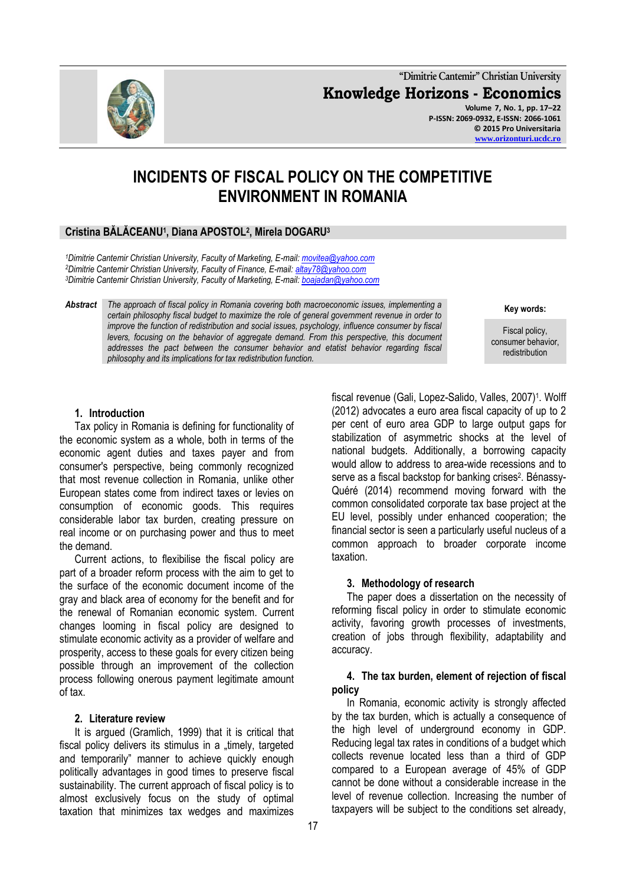**"Dimitrie Cantemir" Christian University Knowledge Horizons - Economics Volume 7, No. 1, pp. 17–22 P-ISSN: 2069-0932, E-ISSN: 2066-1061 © 2015 Pro Universitaria [www.orizonturi.ucdc.ro](http://www.orizonturi.ucdc.ro/)**

fiscal revenue (Gali, Lopez-Salido, Valles, 2007)<sup>1</sup>. Wolff (2012) advocates a euro area fiscal capacity of up to 2 per cent of euro area GDP to large output gaps for stabilization of asymmetric shocks at the level of national budgets. Additionally, a borrowing capacity would allow to address to area-wide recessions and to serve as a fiscal backstop for banking crises<sup>2</sup>. Bénassy-Quéré (2014) recommend moving forward with the common consolidated corporate tax base project at the EU level, possibly under enhanced cooperation; the financial sector is seen a particularly useful nucleus of a common approach to broader corporate income

# **INCIDENTS OF FISCAL POLICY ON THE COMPETITIVE ENVIRONMENT IN ROMANIA**

# **Cristina BĂLĂCEANU<sup>1</sup> , Diana APOSTOL<sup>2</sup> , Mirela DOGARU<sup>3</sup>**

*<sup>1</sup>Dimitrie Cantemir Christian University, Faculty of Marketing, E-mail[: movitea@yahoo.com](mailto:movitea@yahoo.com) <sup>2</sup>Dimitrie Cantemir Christian University, Faculty of Finance, E-mail: [altay78@yahoo.com](mailto:altay78@yahoo.com) <sup>3</sup>Dimitrie Cantemir Christian University, Faculty of Marketing, E-mail[: boajadan@yahoo.com](mailto:boajadan@yahoo.com)*

*Abstract The approach of fiscal policy in Romania covering both macroeconomic issues, implementing a certain philosophy fiscal budget to maximize the role of general government revenue in order to improve the function of redistribution and social issues, psychology, influence consumer by fiscal*  levers, focusing on the behavior of aggregate demand. From this perspective, this document *addresses the pact between the consumer behavior and etatist behavior regarding fiscal philosophy and its implications for tax redistribution function.*

#### **1. Introduction**

Tax policy in Romania is defining for functionality of the economic system as a whole, both in terms of the economic agent duties and taxes payer and from consumer's perspective, being commonly recognized that most revenue collection in Romania, unlike other European states come from indirect taxes or levies on consumption of economic goods. This requires considerable labor tax burden, creating pressure on real income or on purchasing power and thus to meet the demand.

Current actions, to flexibilise the fiscal policy are part of a broader reform process with the aim to get to the surface of the economic document income of the gray and black area of economy for the benefit and for the renewal of Romanian economic system. Current changes looming in fiscal policy are designed to stimulate economic activity as a provider of welfare and prosperity, access to these goals for every citizen being possible through an improvement of the collection process following onerous payment legitimate amount of tax.

#### **2. Literature review**

It is argued (Gramlich, 1999) that it is critical that fiscal policy delivers its stimulus in a "timely, targeted and temporarily" manner to achieve quickly enough politically advantages in good times to preserve fiscal sustainability. The current approach of fiscal policy is to almost exclusively focus on the study of optimal taxation that minimizes tax wedges and maximizes

The paper does a dissertation on the necessity of reforming fiscal policy in order to stimulate economic activity, favoring growth processes of investments, creation of jobs through flexibility, adaptability and accuracy. **4. The tax burden, element of rejection of fiscal policy** 

**3. Methodology of research**

In Romania, economic activity is strongly affected by the tax burden, which is actually a consequence of the high level of underground economy in GDP. Reducing legal tax rates in conditions of a budget which collects revenue located less than a third of GDP compared to a European average of 45% of GDP cannot be done without a considerable increase in the level of revenue collection. Increasing the number of taxpayers will be subject to the conditions set already,

taxation.



**Key words:**

Fiscal policy, consumer behavior, redistribution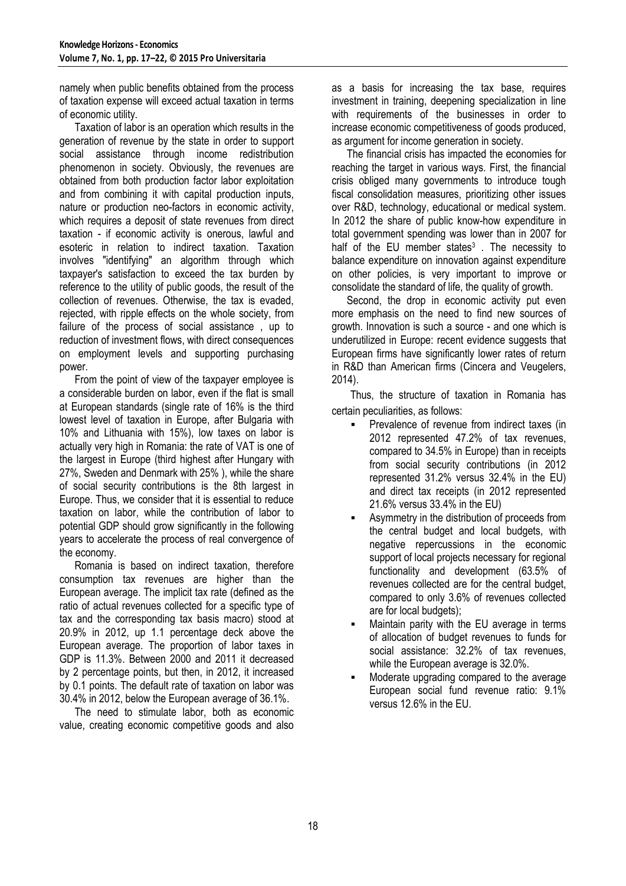namely when public benefits obtained from the process of taxation expense will exceed actual taxation in terms of economic utility.

Taxation of labor is an operation which results in the generation of revenue by the state in order to support social assistance through income redistribution phenomenon in society. Obviously, the revenues are obtained from both production factor labor exploitation and from combining it with capital production inputs, nature or production neo-factors in economic activity, which requires a deposit of state revenues from direct taxation - if economic activity is onerous, lawful and esoteric in relation to indirect taxation. Taxation involves "identifying" an algorithm through which taxpayer's satisfaction to exceed the tax burden by reference to the utility of public goods, the result of the collection of revenues. Otherwise, the tax is evaded, rejected, with ripple effects on the whole society, from failure of the process of social assistance , up to reduction of investment flows, with direct consequences on employment levels and supporting purchasing power.

From the point of view of the taxpayer employee is a considerable burden on labor, even if the flat is small at European standards (single rate of 16% is the third lowest level of taxation in Europe, after Bulgaria with 10% and Lithuania with 15%), low taxes on labor is actually very high in Romania: the rate of VAT is one of the largest in Europe (third highest after Hungary with 27%, Sweden and Denmark with 25% ), while the share of social security contributions is the 8th largest in Europe. Thus, we consider that it is essential to reduce taxation on labor, while the contribution of labor to potential GDP should grow significantly in the following years to accelerate the process of real convergence of the economy.

Romania is based on indirect taxation, therefore consumption tax revenues are higher than the European average. The implicit tax rate (defined as the ratio of actual revenues collected for a specific type of tax and the corresponding tax basis macro) stood at 20.9% in 2012, up 1.1 percentage deck above the European average. The proportion of labor taxes in GDP is 11.3%. Between 2000 and 2011 it decreased by 2 percentage points, but then, in 2012, it increased by 0.1 points. The default rate of taxation on labor was 30.4% in 2012, below the European average of 36.1%.

The need to stimulate labor, both as economic value, creating economic competitive goods and also

as a basis for increasing the tax base, requires investment in training, deepening specialization in line with requirements of the businesses in order to increase economic competitiveness of goods produced, as argument for income generation in society.

The financial crisis has impacted the economies for reaching the target in various ways. First, the financial crisis obliged many governments to introduce tough fiscal consolidation measures, prioritizing other issues over R&D, technology, educational or medical system. In 2012 the share of public know-how expenditure in total government spending was lower than in 2007 for half of the EU member states<sup>3</sup>. The necessity to balance expenditure on innovation against expenditure on other policies, is very important to improve or consolidate the standard of life, the quality of growth.

Second, the drop in economic activity put even more emphasis on the need to find new sources of growth. Innovation is such a source - and one which is underutilized in Europe: recent evidence suggests that European firms have significantly lower rates of return in R&D than American firms (Cincera and Veugelers, 2014).

 Thus, the structure of taxation in Romania has certain peculiarities, as follows:

- Prevalence of revenue from indirect taxes (in 2012 represented 47.2% of tax revenues, compared to 34.5% in Europe) than in receipts from social security contributions (in 2012 represented 31.2% versus 32.4% in the EU) and direct tax receipts (in 2012 represented 21.6% versus 33.4% in the EU)
- Asymmetry in the distribution of proceeds from the central budget and local budgets, with negative repercussions in the economic support of local projects necessary for regional functionality and development (63.5% of revenues collected are for the central budget, compared to only 3.6% of revenues collected are for local budgets);
- Maintain parity with the EU average in terms of allocation of budget revenues to funds for social assistance: 32.2% of tax revenues, while the European average is 32.0%.
- Moderate upgrading compared to the average European social fund revenue ratio: 9.1% versus 12.6% in the EU.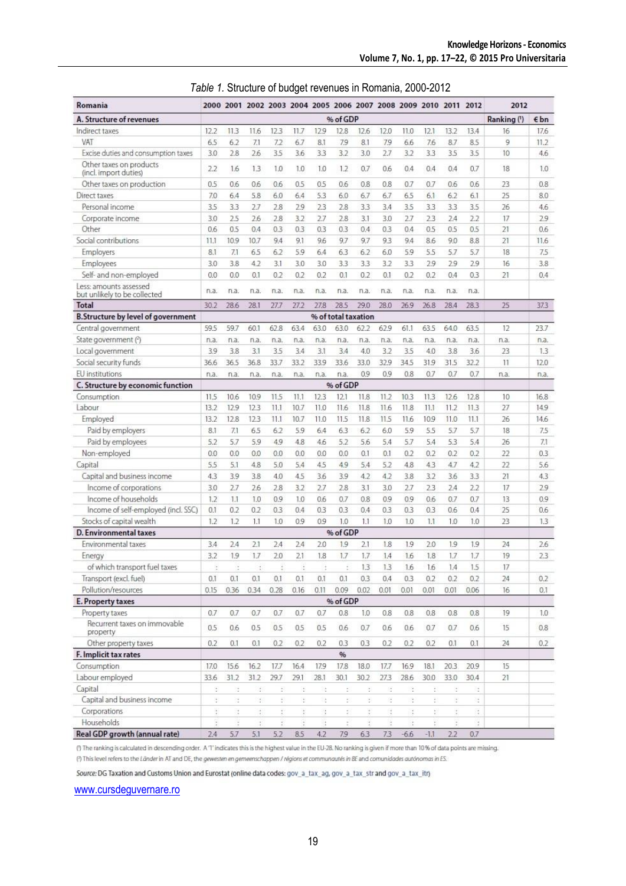| Romania                                                |      |      |                |                            |      |      |                     |      | 2000 2001 2002 2003 2004 2005 2006 2007 2008 2009 2010 2011 2012 |                      |        |                      |      | 2012        |                          |
|--------------------------------------------------------|------|------|----------------|----------------------------|------|------|---------------------|------|------------------------------------------------------------------|----------------------|--------|----------------------|------|-------------|--------------------------|
| A. Structure of revenues                               |      |      |                |                            |      |      | % of GDP            |      |                                                                  |                      |        |                      |      | Ranking (1) | $\epsilon$ <sub>bn</sub> |
| Indirect taxes                                         | 12.2 | 11.3 | 11.6           | 12.3                       | 11.7 | 12.9 | 12.8                | 12.6 | 12.0                                                             | 11.0                 | 12.1   | 13.2                 | 13.4 | 16          | 17.6                     |
| VAT                                                    | 6.5  | 6.2  | 7.1            | 7.2                        | 6.7  | 8.1  | 7.9                 | 8.1  | 79                                                               | 6.6                  | 7.6    | 8.7                  | 8.5  | 9           | 11.2                     |
| Excise duties and consumption taxes                    | 3.0  | 2.8  | 2.6            | 3.5                        | 3.6  | 3.3  | 3.2                 | 3.0  | 2.7                                                              | 3.2                  | 3.3    | 3.5                  | 3.5  | 10          | 4.6                      |
| Other taxes on products<br>(incl. import duties)       | 2.2  | 1.6  | 1.3            | 1.0                        | 1.0  | 1.0  | 1.2                 | 0.7  | 0.6                                                              | 0.4                  | 0.4    | 0.4                  | 0.7  | 18          | 1.0                      |
| Other taxes on production                              | 0.5  | 0.6  | 0.6            | 0.6                        | 0.5  | 0.5  | 0.6                 | 0.8  | 0.8                                                              | 0.7                  | 0.7    | 0.6                  | 0.6  | 23          | 0.8                      |
| Direct taxes                                           | 7.0  | 6.4  | 5.8            | 6.0                        | 6.4  | 5.3  | 6.0                 | 6.7  | 6.7                                                              | 6.5                  | 6.1    | 6.2                  | 6.1  | 25          | 8.0                      |
| Personal income                                        | 3.5  | 3.3  | 2.7            | 2.8                        | 29   | 2.3  | 2.8                 | 3.3  | 3.4                                                              | 3.5                  | 3.3    | 3.3                  | 3.5  | 26          | 4.6                      |
| Corporate income                                       | 3.0  | 25   | 26             | 2.8                        | 3.2  | 2.7  | 2.8                 | 3.1  | 3.0                                                              | 2.7                  | 2.3    | 2.4                  | 2.2  | 17          | 2.9                      |
| Other                                                  | 0.6  | 0.5  | 0.4            | 0.3                        | 0.3  | 0.3  | 0.3                 | 0.4  | 0.3                                                              | 0.4                  | 0.5    | 0.5                  | 0.5  | 21          | 0.6                      |
| Social contributions                                   | 11.1 | 10.9 | 10.7           | 9.4                        | 9.1  | 9.6  | 9.7                 | 9.7  | 9.3                                                              | 9.4                  | 8.6    | 9.0                  | 8.8  | 21          | 11.6                     |
| Employers                                              | 8.1  | 7.1  | 6.5            | 6.2                        | 5.9  | 6.4  | 6.3                 | 6.2  | 6.0                                                              | 5.9                  | 5.5    | 5.7                  | 5.7  | 18          | 7.5                      |
| Employees                                              | 3.0  | 3.8  | 4.2            | 3.1                        | 3.0  | 3.0  | 3.3                 | 3.3  | 3.2                                                              | 3.3                  | 2.9    | 2.9                  | 2.9  | 16          | 3.8                      |
| Self- and non-employed                                 | 0.0  | 0.0  | 0.1            | 0.2                        | 0.2  | 0.2  | 0.1                 | 0.2  | 0.1                                                              | 0.2                  | 0.2    | 0.4                  | 0.3  | 21          | 0.4                      |
| Less: amounts assessed<br>but unlikely to be collected | n.a. | n.a. | n.a.           | n.a.                       | n.a. | n.a. | n.a.                | n.a. | n.a.                                                             | n.a.                 | n.a.   | n.a.                 | n.a. |             |                          |
| Total                                                  | 30.2 | 28.6 | 28.1           | 27.7                       | 27.2 | 27.8 | 28.5                | 29.0 | 28.0                                                             | 26.9                 | 26.8   | 28.4                 | 28.3 | 25          | 37.3                     |
| <b>B.Structure by level of government</b>              |      |      |                |                            |      |      | % of total taxation |      |                                                                  |                      |        |                      |      |             |                          |
| Central government                                     | 59.5 | 59.7 | 60.1           | 62.8                       | 63.4 | 63.0 | 63.0                | 62.2 | 62.9                                                             | 61.1                 | 63.5   | 64.0                 | 63.5 | 12          | 23.7                     |
| State government (2)                                   | n.a. | n.a. | n.a.           | n.a.                       | n.a. | n.a. | n.a.                | n.a. | n.a.                                                             | n.a.                 | n.a.   | n.a.                 | n.a. | n.a.        | n.a.                     |
| Local government                                       | 3.9  | 3.8  | 3.1            | 3.5                        | 3.4  | 3.1  | 3.4                 | 4.0  | 3.2                                                              | 3.5                  | 4.0    | 3.8                  | 3.6  | 23          | 1.3                      |
| Social security funds                                  | 36.6 | 36.5 | 36.8           | 33.7                       | 33.2 | 33.9 | 33.6                | 33.0 | 32.9                                                             | 34.5                 | 31.9   | 31.5                 | 32.2 | 11          | 12.0                     |
| EU institutions                                        | n.a. | n.a. | n.a.           | n.a.                       | n.a. | n.a. | n.a.                | 0.9  | 0.9                                                              | 0.8                  | 0.7    | 0.7                  | 0.7  | n.a.        | n.a.                     |
| C. Structure by economic function                      |      |      |                |                            |      |      | % of GDP            |      |                                                                  |                      |        |                      |      |             |                          |
| Consumption                                            | 11.5 | 10.6 | 10.9           | 11.5                       | 11.1 | 12.3 | 12.1                | 11.8 | 11.2                                                             | 10.3                 | 11.3   | 12.6                 | 12.8 | 10          | 16.8                     |
| Labour                                                 | 13.2 | 12.9 | 12.3           | 11.1                       | 10.7 | 11.0 | 11.6                | 11.8 | 11.6                                                             | 11.8                 | 11.1   | 11.2                 | 11.3 | 27          | 14.9                     |
| Employed                                               | 13.2 | 12.8 | 123            | 11.1                       | 10.7 | 11.0 | 11.5                | 11.8 | 11.5                                                             | 11.6                 | 10.9   | 11.0                 | 11.1 | 26          | 14.6                     |
| Paid by employers                                      | 8.1  | 7.1  | 6.5            | 6.2                        | 5.9  | 6.4  | 6.3                 | 6.2  | 6.0                                                              | 5.9                  | 5.5    | 5.7                  | 5.7  | 18          | 7.5                      |
| Paid by employees                                      | 5.2  | 5.7  | 5.9            | 4.9                        | 4.8  | 4.6  | 5.2                 | 5.6  | 5.4                                                              | 5.7                  | 5.4    | 5.3                  | 5.4  | 26          | 7.1                      |
| Non-employed                                           | 0.0  | 0.0  | 0.0            | 0.0                        | 0.0  | 0.0  | 0.0                 | 0.1  | 0.1                                                              | 0.2                  | 0.2    | 0.2                  | 0.2  | 22          | 0.3                      |
| Capital                                                | 5.5  | 5.1  | 4.8            | 5.0                        | 5.4  | 4.5  | 4.9                 | 5.4  | 5.2                                                              | 4.8                  | 4.3    | 4.7                  | 4.2  | 22          | 5.6                      |
| Capital and business income                            | 4.3  | 3.9  | 3.8            | 4.0                        | 4.5  | 3.6  | 3.9                 | 4.2  | 4.2                                                              | 3.8                  | 3.2    | 3.6                  | 3.3  | 21          | 4.3                      |
| Income of corporations                                 | 3.0  | 2.7  | 2.6            | 2.8                        | 3.2  | 2.7  | 2.8                 | 3.1  | 3.0                                                              | 2.7                  | 23     | 2.4                  | 2.2  | 17          | 2.9                      |
| Income of households                                   | 1.2  | 1.1  | 1.0            | 0.9                        | 1.0  | 0.6  | 0.7                 | 0.8  | 0.9                                                              | 0.9                  | 0.6    | 0.7                  | 0.7  | 13          | 0.9                      |
| Income of self-employed (incl. SSC)                    | 0.1  | 0.2  | 0.2            | 0.3                        | 0.4  | 0.3  | 0.3                 | 0.4  | 0.3                                                              | 0.3                  | 0.3    | 0.6                  | 0.4  | 25          | 0.6                      |
| Stocks of capital wealth                               | 1.2  | 1.2  | 1.1            | 1.0                        | 0.9  | 0.9  | 1.0                 | 1.1  | 1.0                                                              | 1.0                  | 1.1    | 1.0                  | 1.0  | 23          | 1.3                      |
| <b>D. Environmental taxes</b>                          |      |      |                |                            |      |      | % of GDP            |      |                                                                  |                      |        |                      |      |             |                          |
| Environmental taxes                                    | 3.4  | 2.4  | 2.1            | 2.4                        | 2.4  | 2.0  | 1.9                 | 2.1  | 1.8                                                              | 1.9                  | 2.0    | 1.9                  | 1.9  | 24          | 2.6                      |
| Energy                                                 | 3.2  | 1.9  | 1.7            | 2.0                        | 2.1  | 1.8  | 1.7                 | 1.7  | 1.4                                                              | 1.6                  | 1.8    | 1.7                  | 17   | 19          | 23                       |
| of which transport fuel taxes                          |      |      | $\overline{a}$ |                            | Ŧ    |      |                     | 1.3  | 1.3                                                              | 1.6                  | 1.6    | 1.4                  | 1.5  | $17\,$      |                          |
| Transport (excl. fuel)                                 | 0.1  | 0.1  | 0.1            | 0.1                        | 0.1  | 0.1  | 0.1                 | 0.3  | 0.4                                                              | 0.3                  | 0.2    | 0.2                  | 0.2  | 24          | 0.2                      |
| Pollution/resources                                    | 0.15 | 0.36 | 0.34           | 0.28                       | 0.16 | 0.11 | 0.09                | 0.02 | 0.01                                                             | 0.01                 | 0.01   | 0.01                 | 0.06 | 16          | 0.1                      |
| E. Property taxes                                      |      |      |                |                            |      |      | % of GDP            |      |                                                                  |                      |        |                      |      |             |                          |
| Property taxes                                         | 0.7  | 0.7  | 0.7            | 0.7                        | 0.7  | 0.7  | 0.8                 | 1.0  | 0.8                                                              | 0.8                  | 0.8    | 0.8                  | 0.8  | 19          | 1.0                      |
| Recurrent taxes on immovable<br>property               | 0.5  | 0.6  | 0.5            | 0.5                        | 0.5  | 0.5  | 0.6                 | 0.7  | 0.6                                                              | 0.6                  | 0.7    | 0.7                  | 0.6  | 15          | 0.8                      |
| Other property taxes                                   | 0.2  | 0.1  | 0.1            | 0.2                        | 0.2  | 0.2  | 0.3                 | 0.3  | 0.2                                                              | 0.2                  | 0.2    | 0.1                  | 0.1  | 24          | 0.2                      |
| F. Implicit tax rates                                  |      |      |                |                            |      |      | %                   |      |                                                                  |                      |        |                      |      |             |                          |
| Consumption                                            | 17.0 | 15.6 | 16.2           | 17.7                       | 16.4 | 17.9 | 17.8                | 18.0 | 17.7                                                             | 16.9                 | 18.1   | 20.3                 | 20.9 | 15          |                          |
| Labour employed                                        | 33.6 | 31.2 | 31.2           | 29.7                       | 29.1 | 28.1 | 30.1                | 30.2 | 27.3                                                             | 28.6                 | 30.0   | 33.0                 | 30.4 | 21          |                          |
| Capital                                                | ÷    | t    | š,             | š                          | ÷    | t    | š,                  | ÷    | с                                                                | ÷                    | š,     | t                    | ä,   |             |                          |
| Capital and business income                            | ÷    | ÷    | š.             | š,                         | ÷    | ċ    | ś.                  | ŧ.   | ¥                                                                | ż.                   | š.     | È.                   | ÷,   |             |                          |
| Corporations                                           | ¥    | ÷    | ÷              | Ť.                         | ÷    | ÷    | ÷                   | ¥    | đ.                                                               | $\ddot{\phantom{1}}$ | ÷.     | ÷                    | G.   |             |                          |
| Households                                             | š    | ÷    | š,             | $\ddot{\ddot{\phantom{}}}$ | £    | đ    | ř.                  | ž.   | Ì                                                                | š.                   | ř.     | $\ddot{\phantom{0}}$ | ž.   |             |                          |
| Real GDP growth (annual rate)                          | 2.4  | 5.7  | 5.1            | 5.2                        | 8.5  | 4.2  | 7.9                 | 6.3  | 7.3                                                              | $-6.6$               | $-1.1$ | 2.2                  | 0.7  |             |                          |

|  |  |  |  |  | Table 1. Structure of budget revenues in Romania, 2000-2012 |  |
|--|--|--|--|--|-------------------------------------------------------------|--|
|--|--|--|--|--|-------------------------------------------------------------|--|

(1) The ranking is calculated in descending order. A '1' indicates this is the highest value in the EU-28. No ranking is given if more than 10% of data points are missing. (?) This level refers to the Lander in AT and DE, the gewesten en gemeenschappen / régions et communautés in BE and comunidades autónomas in ES.

Source: DG Taxation and Customs Union and Eurostat (online data codes: gov\_a\_tax\_ag, gov\_a\_tax\_str and gov\_a\_tax\_itr)

[www.cursdeguvernare.ro](http://www.cursdeguvernare.ro/)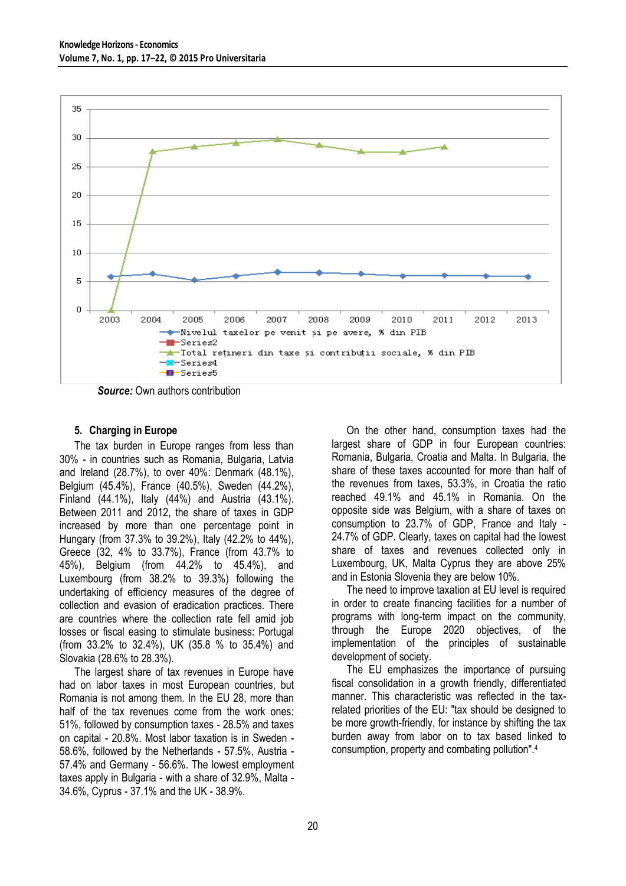

*Source:* Own authors contribution

### **5. Charging in Europe**

The tax burden in Europe ranges from less than 30% - in countries such as Romania, Bulgaria, Latvia and Ireland (28.7%), to over 40%: Denmark (48.1%), Belgium (45.4%), France (40.5%), Sweden (44.2%), Finland (44.1%), Italy (44%) and Austria (43.1%). Between 2011 and 2012, the share of taxes in GDP increased by more than one percentage point in Hungary (from 37.3% to 39.2%), Italy (42.2% to 44%), Greece (32, 4% to 33.7%), France (from 43.7% to 45%), Belgium (from 44.2% to 45.4%), and Luxembourg (from 38.2% to 39.3%) following the undertaking of efficiency measures of the degree of collection and evasion of eradication practices. There are countries where the collection rate fell amid job losses or fiscal easing to stimulate business: Portugal (from 33.2% to 32.4%), UK (35.8 % to 35.4%) and Slovakia (28.6% to 28.3%).

The largest share of tax revenues in Europe have had on labor taxes in most European countries, but Romania is not among them. In the EU 28, more than half of the tax revenues come from the work ones: 51%, followed by consumption taxes - 28.5% and taxes on capital - 20.8%. Most labor taxation is in Sweden - 58.6%, followed by the Netherlands - 57.5%, Austria - 57.4% and Germany - 56.6%. The lowest employment taxes apply in Bulgaria - with a share of 32.9%, Malta - 34.6%, Cyprus - 37.1% and the UK - 38.9%.

On the other hand, consumption taxes had the largest share of GDP in four European countries: Romania, Bulgaria, Croatia and Malta. In Bulgaria, the share of these taxes accounted for more than half of the revenues from taxes, 53.3%, in Croatia the ratio reached 49.1% and 45.1% in Romania. On the opposite side was Belgium, with a share of taxes on consumption to 23.7% of GDP, France and Italy - 24.7% of GDP. Clearly, taxes on capital had the lowest share of taxes and revenues collected only in Luxembourg, UK, Malta Cyprus they are above 25% and in Estonia Slovenia they are below 10%.

The need to improve taxation at EU level is required in order to create financing facilities for a number of programs with long-term impact on the community, through the Europe 2020 objectives, of the implementation of the principles of sustainable development of society.

The EU emphasizes the importance of pursuing fiscal consolidation in a growth friendly, differentiated manner. This characteristic was reflected in the taxrelated priorities of the EU: "tax should be designed to be more growth-friendly, for instance by shifting the tax burden away from labor on to tax based linked to consumption, property and combating pollution".4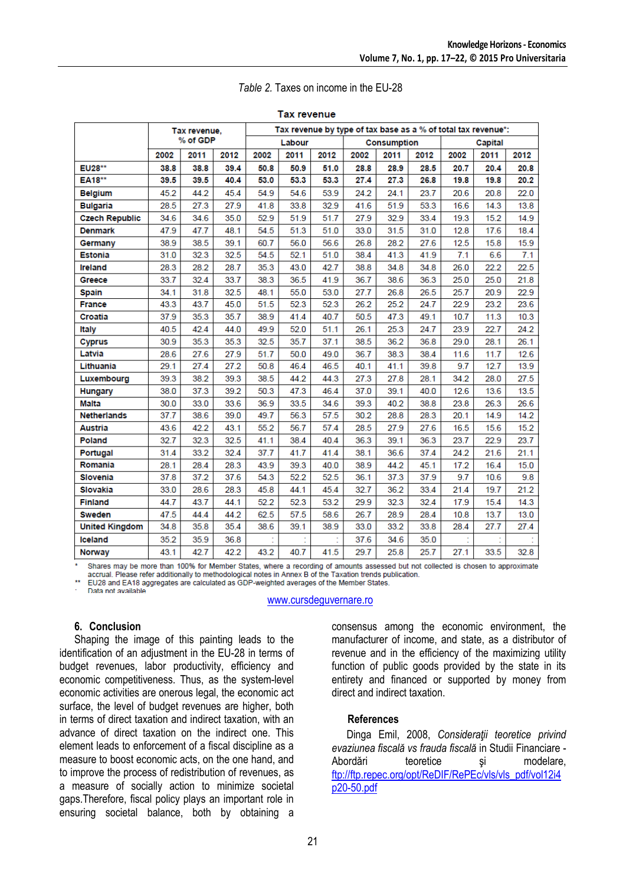|                       | Tax revenue,<br>% of GDP |      |      | Tax revenue by type of tax base as a % of total tax revenue*: |      |      |      |                    |      |         |      |      |  |
|-----------------------|--------------------------|------|------|---------------------------------------------------------------|------|------|------|--------------------|------|---------|------|------|--|
|                       |                          |      |      | Labour                                                        |      |      |      | <b>Consumption</b> |      | Capital |      |      |  |
|                       | 2002                     | 2011 | 2012 | 2002                                                          | 2011 | 2012 | 2002 | 2011               | 2012 | 2002    | 2011 | 2012 |  |
| EU28**                | 38.8                     | 38.8 | 39.4 | 50.8                                                          | 50.9 | 51.0 | 28.8 | 28.9               | 28.5 | 20.7    | 20.4 | 20.8 |  |
| <b>EA18**</b>         | 39.5                     | 39.5 | 40.4 | 53.0                                                          | 53.3 | 53.3 | 27.4 | 27.3               | 26.8 | 19.8    | 19.8 | 20.2 |  |
| <b>Belgium</b>        | 45.2                     | 44.2 | 45.4 | 54.9                                                          | 54.6 | 53.9 | 24.2 | 24.1               | 23.7 | 20.6    | 20.8 | 22.0 |  |
| <b>Bulgaria</b>       | 28.5                     | 27.3 | 27.9 | 41.8                                                          | 33.8 | 32.9 | 41.6 | 51.9               | 53.3 | 16.6    | 14.3 | 13.8 |  |
| <b>Czech Republic</b> | 34.6                     | 34.6 | 35.0 | 52.9                                                          | 51.9 | 51.7 | 27.9 | 32.9               | 33.4 | 19.3    | 15.2 | 14.9 |  |
| <b>Denmark</b>        | 47.9                     | 47.7 | 48.1 | 54.5                                                          | 51.3 | 51.0 | 33.0 | 31.5               | 31.0 | 12.8    | 17.6 | 18.4 |  |
| Germany               | 38.9                     | 38.5 | 39.1 | 60.7                                                          | 56.0 | 56.6 | 26.8 | 28.2               | 27.6 | 12.5    | 15.8 | 15.9 |  |
| <b>Estonia</b>        | 31.0                     | 32.3 | 32.5 | 54.5                                                          | 52.1 | 51.0 | 38.4 | 41.3               | 41.9 | 7.1     | 6.6  | 7.1  |  |
| <b>Ireland</b>        | 28.3                     | 28.2 | 28.7 | 35.3                                                          | 43.0 | 42.7 | 38.8 | 34.8               | 34.8 | 26.0    | 22.2 | 22.5 |  |
| Greece                | 33.7                     | 32.4 | 33.7 | 38.3                                                          | 36.5 | 41.9 | 36.7 | 38.6               | 36.3 | 25.0    | 25.0 | 21.8 |  |
| <b>Spain</b>          | 34.1                     | 31.8 | 32.5 | 48.1                                                          | 55.0 | 53.0 | 27.7 | 26.8               | 26.5 | 25.7    | 20.9 | 22.9 |  |
| <b>France</b>         | 43.3                     | 43.7 | 45.0 | 51.5                                                          | 52.3 | 52.3 | 26.2 | 25.2               | 24.7 | 22.9    | 23.2 | 23.6 |  |
| Croatia               | 37.9                     | 35.3 | 35.7 | 38.9                                                          | 41.4 | 40.7 | 50.5 | 47.3               | 49.1 | 10.7    | 11.3 | 10.3 |  |
| Italy                 | 40.5                     | 42.4 | 44.0 | 49.9                                                          | 52.0 | 51.1 | 26.1 | 25.3               | 24.7 | 23.9    | 22.7 | 24.2 |  |
| <b>Cyprus</b>         | 30.9                     | 35.3 | 35.3 | 32.5                                                          | 35.7 | 37.1 | 38.5 | 36.2               | 36.8 | 29.0    | 28.1 | 26.1 |  |
| Latvia                | 28.6                     | 27.6 | 27.9 | 51.7                                                          | 50.0 | 49.0 | 36.7 | 38.3               | 38.4 | 11.6    | 11.7 | 12.6 |  |
| Lithuania             | 29.1                     | 27.4 | 27.2 | 50.8                                                          | 46.4 | 46.5 | 40.1 | 41.1               | 39.8 | 9.7     | 12.7 | 13.9 |  |
| Luxembourg            | 39.3                     | 38.2 | 39.3 | 38.5                                                          | 44.2 | 44.3 | 27.3 | 27.8               | 28.1 | 34.2    | 28.0 | 27.5 |  |
| Hungary               | 38.0                     | 37.3 | 39.2 | 50.3                                                          | 47.3 | 46.4 | 37.0 | 39.1               | 40.0 | 12.6    | 13.6 | 13.5 |  |
| Malta                 | 30.0                     | 33.0 | 33.6 | 36.9                                                          | 33.5 | 34.6 | 39.3 | 40.2               | 38.8 | 23.8    | 26.3 | 26.6 |  |
| <b>Netherlands</b>    | 37.7                     | 38.6 | 39.0 | 49.7                                                          | 56.3 | 57.5 | 30.2 | 28.8               | 28.3 | 20.1    | 14.9 | 14.2 |  |
| <b>Austria</b>        | 43.6                     | 42.2 | 43.1 | 55.2                                                          | 56.7 | 57.4 | 28.5 | 27.9               | 27.6 | 16.5    | 15.6 | 15.2 |  |
| Poland                | 32.7                     | 32.3 | 32.5 | 41.1                                                          | 38.4 | 40.4 | 36.3 | 39.1               | 36.3 | 23.7    | 22.9 | 23.7 |  |
| Portugal              | 31.4                     | 33.2 | 32.4 | 37.7                                                          | 41.7 | 41.4 | 38.1 | 36.6               | 37.4 | 24.2    | 21.6 | 21.1 |  |
| Romania               | 28.1                     | 28.4 | 28.3 | 43.9                                                          | 39.3 | 40.0 | 38.9 | 44.2               | 45.1 | 17.2    | 16.4 | 15.0 |  |
| <b>Slovenia</b>       | 37.8                     | 37.2 | 37.6 | 54.3                                                          | 52.2 | 52.5 | 36.1 | 37.3               | 37.9 | 9.7     | 10.6 | 9.8  |  |
| Slovakia              | 33.0                     | 28.6 | 28.3 | 45.8                                                          | 44.1 | 45.4 | 32.7 | 36.2               | 33.4 | 21.4    | 19.7 | 21.2 |  |
| <b>Finland</b>        | 44.7                     | 43.7 | 44.1 | 52.2                                                          | 52.3 | 53.2 | 29.9 | 32.3               | 32.4 | 17.9    | 15.4 | 14.3 |  |
| <b>Sweden</b>         | 47.5                     | 44.4 | 44.2 | 62.5                                                          | 57.5 | 58.6 | 26.7 | 28.9               | 28.4 | 10.8    | 13.7 | 13.0 |  |
| <b>United Kingdom</b> | 34.8                     | 35.8 | 35.4 | 38.6                                                          | 39.1 | 38.9 | 33.0 | 33.2               | 33.8 | 28.4    | 27.7 | 27.4 |  |
| <b>Iceland</b>        | 35.2                     | 35.9 | 36.8 |                                                               |      |      | 37.6 | 34.6               | 35.0 |         |      |      |  |
| <b>Norway</b>         | 43.1                     | 42.7 | 42.2 | 43.2                                                          | 40.7 | 41.5 | 29.7 | 25.8               | 25.7 | 27.1    | 33.5 | 32.8 |  |

#### *Table 2.* Taxes on income in the EU-28

**Tax revenue** 

Shares may be more than 100% for Member States, where a recording of amounts assessed but not collected is chosen to approximate accrual. Please refer additionally to methodological notes in Annex B of the Taxation trends publication.

EU28 and EA18 aggregates are calculated as GDP-weighted averages of the Member States. Data not available

[www.cursdeguvernare.ro](http://www.cursdeguvernare.ro/)

# **6. Conclusion**

Shaping the image of this painting leads to the identification of an adjustment in the EU-28 in terms of budget revenues, labor productivity, efficiency and economic competitiveness. Thus, as the system-level economic activities are onerous legal, the economic act surface, the level of budget revenues are higher, both in terms of direct taxation and indirect taxation, with an advance of direct taxation on the indirect one. This element leads to enforcement of a fiscal discipline as a measure to boost economic acts, on the one hand, and to improve the process of redistribution of revenues, as a measure of socially action to minimize societal gaps.Therefore, fiscal policy plays an important role in ensuring societal balance, both by obtaining a

consensus among the economic environment, the manufacturer of income, and state, as a distributor of revenue and in the efficiency of the maximizing utility function of public goods provided by the state in its entirety and financed or supported by money from direct and indirect taxation.

# **References**

Dinga Emil, 2008, *Consideraţii teoretice privind evaziunea fiscală vs frauda fiscală* in Studii Financiare - Abordări teoretice și modelare, [ftp://ftp.repec.org/opt/ReDIF/RePEc/vls/vls\\_pdf/vol12i4](ftp://ftp.repec.org/opt/ReDIF/RePEc/vls/vls_pdf/vol12i4p20-50.pdf) [p20-50.pdf](ftp://ftp.repec.org/opt/ReDIF/RePEc/vls/vls_pdf/vol12i4p20-50.pdf)